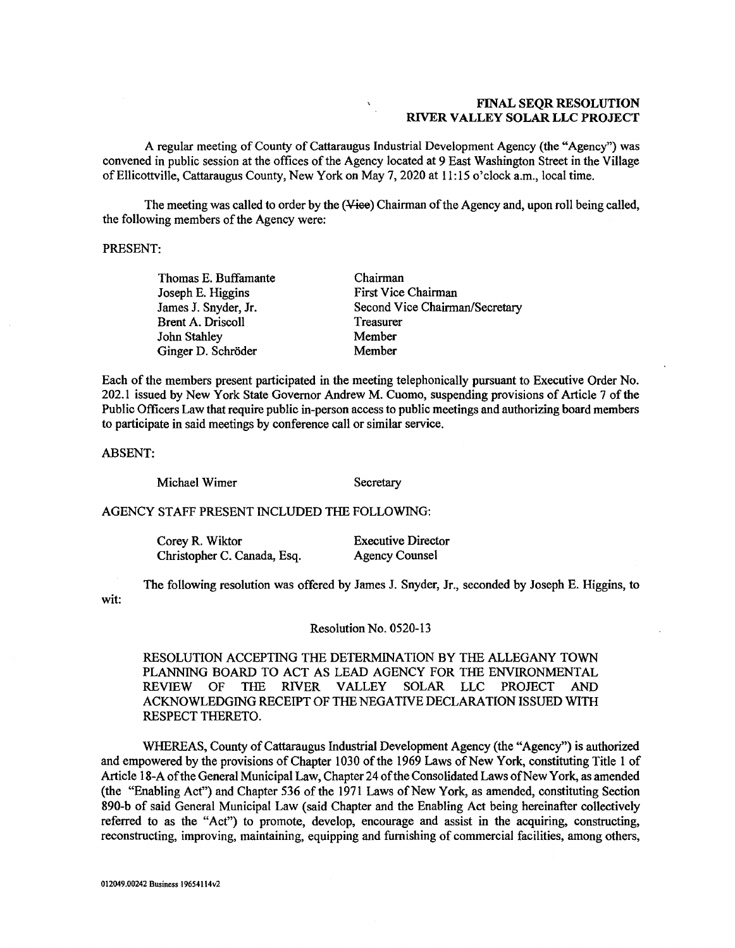## FINAL SEQR RESOLUTION **FINAL SEQR RESOLUTION**  RIVER VALLEY SOLAR LLC PROJECT **RIVER VALLEY SOLAR LLC PROJECT**

A regular meeting of County of Cattaraugus Industrial Development Agency (the "Agency") was A regular meeting of County of Cattaraugus Industrial Development Agency (the "Agency") was convened in public session at the offices of the Agency located at 9 East Washington Street in the Village convened in public session at the offices of the Agency located at 9 East Washington Street in the Village of Ellicottville, Cattaraugus County, New York on May 7, 2020 at 11:15 o'clock a.m., local time. of Ellicottville, Cattaraugus County, New York on May 7, 2020 at 11:15 o'clock a.m., local time.

The meeting was called to order by the (<del>Vice</del>) Chairman of the Agency and, upon roll being called, the following members of the Agency were: the following members of the Agency were:

### PRESENT: PRESENT:

Thomas E. Buffamante Thomas E. Buffamante Joseph E. Higgins Joseph E. Higgins James J. Snyder, Jr. James J. Snyder, Jr. Brent A. Driscoll Brent A. Driscoll John Stahley John Stahley Ginger D. Schröder

Chairman Chairman First Vice Chairman First Vice Chairman Second Vice Chairman/Secretary Second Vice Chairman/Secretary Treasurer Treasurer Member Member Member Member

Each of the members present participated in the meeting telephonically pursuant to Executive Order No. Each of the members present participated in the meeting telephonically pursuant to Executive Order No. 202.1 issued by New York State Governor Andrew M. Cuomo, suspending provisions of Article 7 of the 202.1 issued by New York State Governor Andrew M. Cuomo, suspending provisions of Article 7 of the Public Officers Law that require public in-person access to public meetings and authorizing board members Public Officers Law that require public in-person access to public meetings and authorizing board members to participate in said meetings by conference call or similar service. to participate in said meetings by conference call or similar service.

ABSENT: ABSENT:

Michael Wimer Secretary

## AGENCY STAFF PRESENT INCLUDED THE FOLLOWING: AGENCY STAFF PRESENT INCLUDED THE FOLLOWING:

Corey R. Wiktor Executive Director Corey R. Wiktor Christopher C. Canada, Esq. Agency Counsel

Executive Director Agency Counsel

wit: wit: The following resolution was offered by James J. Snyder, Jr., seconded by Joseph E. Higgins, to The following resolution was offered by James J. Snyder, Jr., seconded by Joseph E. Higgins, to

#### Resolution No. 0520-13 Resolution No. 0520-13

RESOLUTION ACCEPTING THE DETERMINATION BY THE ALLEGANY TOWN RESOLUTION ACCEPTING THE DETERMINATION BY THE ALLEGANY TOWN PLANNING BOARD TO ACT AS LEAD AGENCY FOR THE ENVIRONMENTAL PLANNING BOARD TO ACT AS LEAD AGENCY FOR THE ENVIRONMENTAL REVIEW OF THE RIVER VALLEY SOLAR LLC PROJECT AND REVIEW OF THE RIVER VALLEY SOLAR LLC PROJECT AND ACKNOWLEDGING RECEIPT OF THE NEGATIVE DECLARATION ISSUED WITH ACKNOWLEDGING RECEIPT OF THE NEGATIVE DECLARATION ISSUED WITH RESPECT THERETO. RESPECT THERETO.

WHEREAS, County of Cattaraugus Industrial Development Agency (the "Agency") is authorized WHEREAS, County of Cattaraugus Industrial Development Agency (the "Agency") is authorized and empowered by the provisions of Chapter 1030 of the 1969 Laws of New York, constituting Title 1 of and empowered by the provisions of Chapter 1030 of the 1969 Laws of New York, constituting Title 1 of Article 18-A of the General Municipal Law, Chapter 24 of the Consolidated Laws of New York, as amended Article 18-A of the General Municipal Law, Chapter 24 of the Consolidated Laws of New York, as amended (the "Enabling Act") and Chapter 536 of the 1971 Laws of New York, as amended, constituting Section (the "Enabling Act") and Chapter 536 of the 1971 Laws of New York, as amended, constituting Section 890-b of said General Municipal Law (said Chapter and the Enabling Act being hereinafter collectively 890-b of said General Municipal Law (said Chapter and the Enabling Act being hereinafter collectively referred to as the "Act") to promote, develop, encourage and assist in the acquiring, constructing, referred to as the "Act") to promote, develop, encourage and assist in the acquiring, constructing, reconstructing, improving, maintaining, equipping and furnishing of commercial facilities, among others, reconstructing, improving, maintaining, equipping and furnishing of commercial facilities, among others,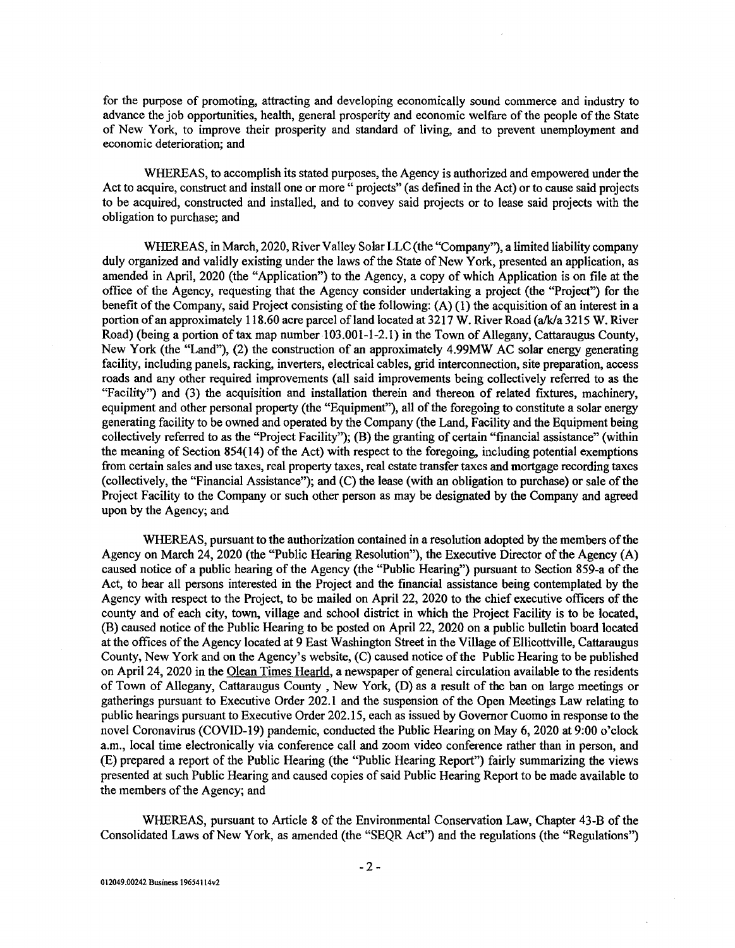for the purpose of promoting, attracting and developing economically sound commerce and industry to for the purpose of promoting, attracting and developing economically sound commerce and industry to advance the job opportunities, health, general prosperity and economic welfare of the people of the State advance the job opportunities, health, general prosperity and economic welfare of the people of the State of New York, to improve their prosperity and standard of living, and to prevent unemployment and economic deterioration; and economic deterioration; and

WHEREAS, to accomplish its stated purposes, the Agency is authorized and empowered under the WHEREAS, to accomplish its stated purposes, the Agency is authorized and empowered under the Act to acquire, construct and install one or more " projects" (as defined in the Act) or to cause said projects Act to acquire, construct and install one or more" projects" (as defined in the Act) or to cause said projects to be acquired, constructed and installed, and to convey said projects or to lease said projects with the to be acquired, constructed and installed, and to convey said projects or to lease said projects with the obligation to purchase; and obligation to purchase; and

WHEREAS, in March, 2020, River Valley Solar LLC (the "Company"), a limited liability company WHEREAS, in March, 2020, River Valley Solar LLC (the "Company"), a limited liability company duly organized and validly existing under the laws of the State of New York, presented an application, as duly organized and validly existing under the laws of the State of New York, presented an application, as amended in April, 2020 (the "Application") to the Agency, a copy of which Application is on file at the amended in April, 2020 (the "Application") to the Agency, a copy of which Application is on file at the office of the Agency, requesting that the Agency consider undertaking a project (the "Project") for the benefit of the Company, said Project consisting of the following: (A) (1) the acquisition of an interest in a benefit of the Company, said Project consisting of the following: (A) (1) the acquisition of an interest in a portion of an approximately 118.60 acre parcel of land located at 3217 W. River Road (a/k/a 3215 W. River portion ofan approximately 118.60 acre parcel ofland located at 3217 W. River Road (a/k/a 3215 W. River Road) (being a portion of tax map number 103.001-1-2.1) in the Town of Allegany, Cattaraugus County, Road) (being a portion of tax map number 103.001-1-2.1) in the Town of Allegany, Cattaraugus County, New York (the "Land"), (2) the construction of an approximately 4.99MW AC solar energy generating New York (the "Land"), (2) the construction of an approximately 4.99MW AC solar energy generating facility, including panels, racking, inverters, electrical cables, grid interconnection, site preparation, access roads and any other required improvements (all said improvements being collectively referred to as the roads and any other required improvements (all said improvements being collectively referred to as the "Facility") and (3) the acquisition and installation therein and thereon of related fixtures, machinery, "Facility") and (3) the acquisition and installation therein and thereon of related fixtures, machinery, equipment and other personal property (the "Equipment"), all of the foregoing to constitute a solar energy equipment and other personal property (the "Equipment"), all of the foregoing to constitute a solar energy generating facility to be owned and operated by the Company (the Land, Facility and the Equipment being generating facility to be owned and operated by the Company (the Land, Facility and the Equipment being collectively referred to as the "Project Facility"); (B) the granting of certain "financial assistance" (within collectively referred to as the "Project Facility"); (B) the granting of certain "financial assistance" (within the meaning of Section 854(14) of the Act) with respect to the foregoing, including potential exemptions the meaning of Section 854(14) of the Act) with respect to the foregoing, including potential exemptions from certain sales and use taxes, real property taxes, real estate transfer taxes and mortgage recording taxes from certain sales and use taxes, real property taxes, real estate transfer taxes and mortgage recording taxes (collectively, the "Financial Assistance"); and (C) the lease (with an obligation to purchase) or sale of the (collectively, the "Financial Assistance"); and (C) the lease (with an obligation to purchase) or sale of the Project Facility to the Company or such other person as may be designated by the Company and agreed Project Facility to the Company or such other person as may be designated by the Company and agreed upon by the Agency; and upon by the Agency; and

WHEREAS, pursuant to the authorization contained in a resolution adopted by the members of the WHEREAS, pursuant to the authorization contained in a resolution adopted by the members of the Agency on March 24, 2020 (the "Public Hearing Resolution"), the Executive Director of the Agency (A) caused notice of a public hearing of the Agency (the "Public Hearing") pursuant to Section 859-a of the caused notice of a public hearing of the Agency (the "Public Hearing") pursuant to Section 859-a of the Act, to hear all persons interested in the Project and the financial assistance being contemplated by the Act, to hear all persons interested in the Project and the financial assistance being contemplated by the Agency with respect to the Project, to be mailed on April 22, 2020 to the chief executive officers of the Agency with respect to the Project, to be mailed on April 22, 2020 to the chief executive officers of the county and of each city, town, village and school district in which the Project Facility is to be located, county and of each city, town, village and school district in which the Project Facility is to be located, (B) caused notice of the Public Hearing to be posted on April 22, 2020 on a public bulletin board located (B) caused notice of the Public Hearing to be posted on April 22, 2020 on a public bulletin board located at the offices of the Agency located at 9 East Washington Street in the Village of Ellicottville, Cattaraugus at the offices of the Agency located at 9 East Washington Street in the Village of Ellicottville, Cattaraugus County, New York and on the Agency's website, (C) caused notice of the Public Hearing to be published County, New York and on the Agency's website, (C) caused notice of the Public Hearing to be published on April 24, 2020 in the Olean Times Hearld, a newspaper of general circulation available to the residents of Town of Allegany, Cattaraugus County, New York, (D) as a result of the ban on large meetings or gatherings pursuant to Executive Order 202.1 and the suspension of the Open Meetings Law relating to gatherings pursuant to Executive Order 202.1 and the suspension of the Open Meetings Law relating to public hearings pursuant to Executive Order 202.15, each as issued by Governor Cuomo in response to the public hearings pursuant to Executive Order 202.15, each as issued by Governor Cuomo in response to the novel Coronavirus (COVID-19) pandemic, conducted the Public Hearing on May 6, 2020 at 9:00 o'clock novel Coronavirus (COVID-19) pandemic, conducted the Public Hearing on May 6, 2020 at 9:00 o'clock a.m., local time electronically via conference call and zoom video conference rather than in person, and a.m., local time electronically via conference call and zoom video conference rather than in person, and (E) prepared a report of the Public Hearing (the "Public Hearing Report") fairly summarizing the views (E) prepared a report of the Public Hearing (the "Public Hearing Report") fairly summarizing the views presented at such Public Hearing and caused copies of said Public Hearing Report to be made available to presented at such Public Hearing and caused copies of said Public Hearing Report to be made available to the members of the Agency; and the members of the Agency; and

WHEREAS, pursuant to Article 8 of the Environmental Conservation Law, Chapter 43-B of the WHEREAS, pursuant to Article 8 of the Environmental Conservation Law, Chapter 43-B of the Consolidated Laws of New York, as amended (the "SEQR Act") and the regulations (the "Regulations") Consolidated Laws of New York, as amended (the "SEQR Act") and the regulations (the "Regulations")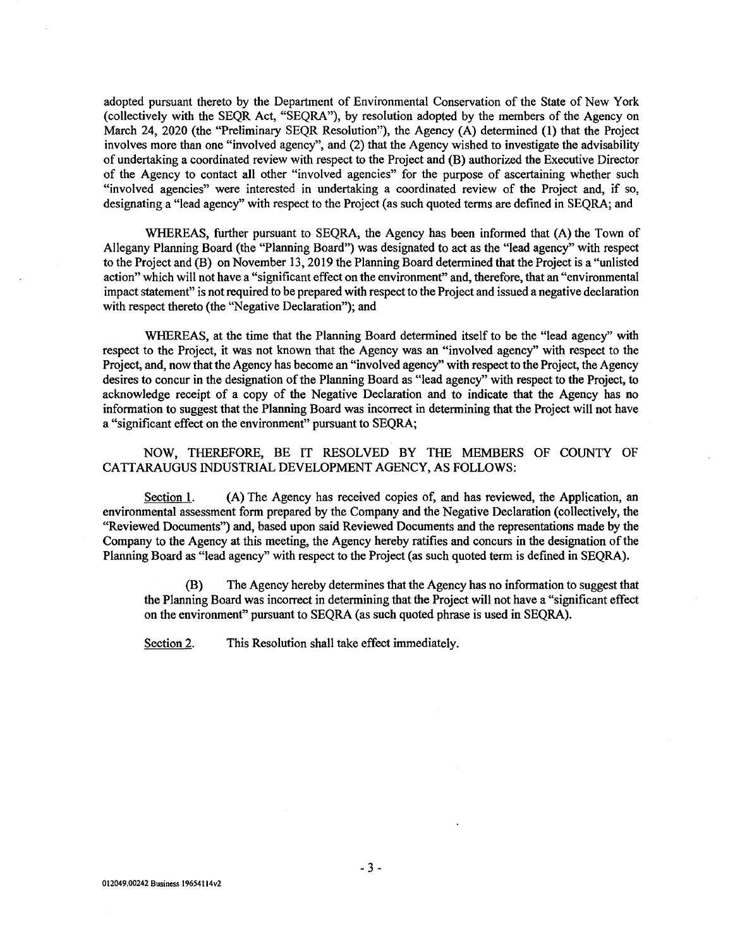adopted pursuant thereto by the Department of Environmental Conservation of the State of New York adopted pursuant thereto by the Department of Environmental Conservation of the State of New York (collectively with the SEQR Act, "SEQRA"), by resolution adopted by the members of the Agency on (collectively with the SEQR Act, "SEQRA"), by resolution adopted by the members of the Agency on March 24, 2020 (the "Preliminary SEQR Resolution"), the Agency (A) determined (1) that the Project March 24, 2020 (the "Preliminary SEQR Resolution''), the Agency (A) determined (1) that the Project involves more than one "involved agency", and (2) that the Agency wished to investigate the advisability involves more than one "involved agency", and (2) that the Agency wished to investigate the advisability of undertaking a coordinated review with respect to the Project and (B) authorized the Executive Director of undertaking a coordinated review with respect to the Project and (B) authorized the Executive Director of the Agency to contact all other "involved agencies" for the purpose of ascertaining whether such "involved agencies" were interested in undertaking a coordinated review of the Project and, if so, "involved agencies" were interested in undertaking a coordinated review of the Project and, if so, designating a "lead agency" with respect to the Project (as such quoted terms are defined in SEQRA; and designating a "lead agency" with respect to the Project (as such quoted terms are defined in SEQRA; and

WHEREAS, further pursuant to SEQRA, the Agency has been informed that (A) the Town of WHEREAS, further pursuant to SEQRA, the Agency has been informed that (A) the Town of Allegany Planning Board (the "Planning Board") was designated to act as the "lead agency" with respect Allegany Planning Board (the "Planning Board") was designated to act as the "lead agency" with respect to the Project and (B) on November 13, 2019 the Planning Board determined that the Project is a "unlisted to the Project and (B) on November 13, 2019 the Planning Board determined that the Project is a "unlisted action" which will not have a "significant effect on the environment" and, therefore, that an "environmental action" which will not have a "significant effect on the environment" and, therefore, that an "environmental impact statement" is not required to be prepared with respect to the Project and issued a negative declaration impact statement" is not required to be prepared with respect to the Project and issued a negative declaration with respect thereto (the "Negative Declaration"); and

WHEREAS, at the time that the Planning Board determined itself to be the "lead agency" with WHEREAS, at the time that the Planning Board determined itself to be the "lead agency" with respect to the Project, it was not known that the Agency was an "involved agency" with respect to the respect to the Project, it was not known that the Agency was an "involved agency" with respect to the Project, and, now that the Agency has become an "involved agency" with respect to the Project, the Agency Project, and, now that the Agency has become an "involved agency" with respect to the Project, the Agency desires to concur in the designation of the Planning Board as "lead agency" with respect to the Project, to desires to concur in the designation of the Planning Board as "lead agency" with respect to the Project, to acknowledge receipt of a copy of the Negative Declaration and to indicate that the Agency has no acknowledge receipt of a copy of the Negative Declaration and to indicate that the Agency has no information to suggest that the Planning Board was incorrect in determining that the Project will not have information to suggest that the Planning Board was incorrect in determining that the Project will not have a "significant effect on the environment" pursuant to SEQRA; a "significant effect on the environment" pursuant to SEQRA;

NOW, THEREFORE, BE IT RESOLVED BY THE MEMBERS OF COUNTY OF NOW, THEREFORE, BE IT RESOLVED BY THE MEMBERS OF COUNTY OF CATTARAUGUS INDUSTRIAL DEVELOPMENT AGENCY, AS FOLLOWS: CATTARAUGUS INDUSTRIAL DEVELOPMENT AGENCY, AS FOLLOWS:

Section 1. (A) The Agency has received copies of, and has reviewed, the Application, an environmental assessment form prepared by the Company and the Negative Declaration (collectively, the environmental assessment form prepared by the Company and the Negative Declaration (collectively, the "Reviewed Documents") and, based upon said Reviewed Documents and the representations made by the "Reviewed Documents") and, based upon said Reviewed Documents and the representations made by the Company to the Agency at this meeting, the Agency hereby ratifies and concurs in the designation of the Company to the Agency at this meeting, the Agency hereby ratifies and concurs **in** the designation of the Planning Board as "lead agency" with respect to the Project (as such quoted term is defined in SEQRA). Planning Board as "lead agency" with respect to the Project (as such quoted term is defined in SEQRA).

(B) The Agency hereby determines that the Agency has no information to suggest that (B) The Agency hereby determines that the Agency has no information to suggest that the Planning Board was incorrect in determining that the Project will not have a "significant effect the Planning Board was incorrect in determining that the Project will not have a "significant effect on the environment" pursuant to SEQRA (as such quoted phrase is used in SEQRA). on the environment" pursuant to SEQRA (as such quoted phrase is used in SEQRA).

Section 2. This Resolution shall take effect immediately.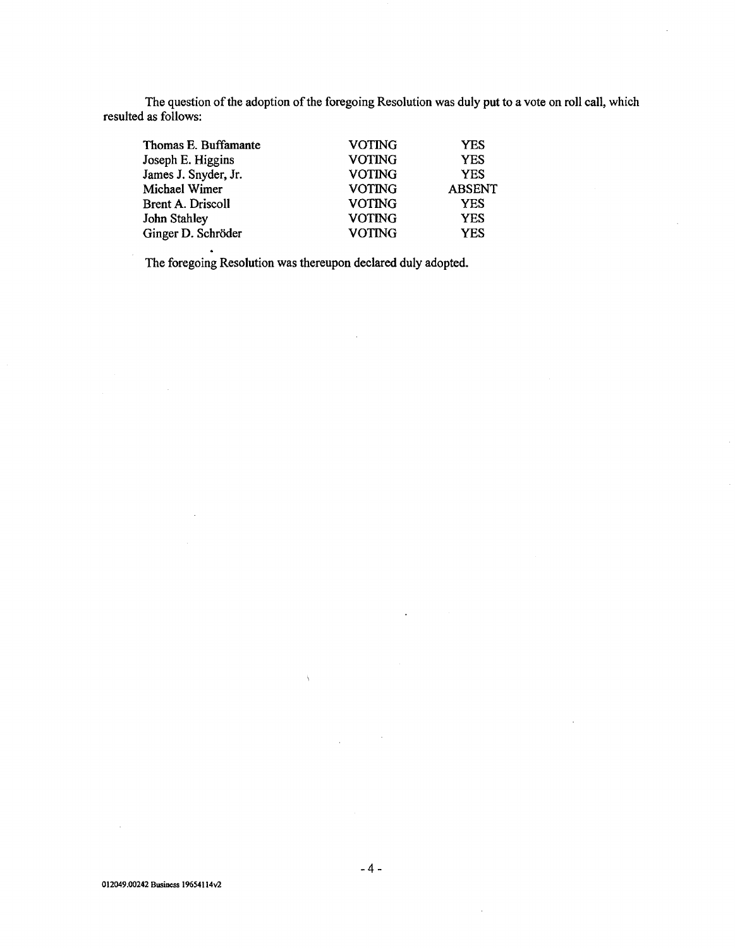The question of the adoption of the foregoing Resolution was duly put to a vote on roll call, which resulted as follows: The question of the adoption of the foregoing Resolution was duly put to a vote on roll call, which resulted as follows:

| Thomas E. Buffamante | <b>VOTING</b> | <b>YES</b>    |
|----------------------|---------------|---------------|
| Joseph E. Higgins    | <b>VOTING</b> | <b>YES</b>    |
| James J. Snyder, Jr. | <b>VOTING</b> | <b>YES</b>    |
| Michael Wimer        | <b>VOTING</b> | <b>ABSENT</b> |
| Brent A. Driscoll    | <b>VOTING</b> | <b>YES</b>    |
| John Stahley         | <b>VOTING</b> | <b>YES</b>    |
| Ginger D. Schröder   | <b>VOTING</b> | <b>YES</b>    |
|                      |               |               |

The foregoing Resolution was thereupon declared duly adopted. The foregoing Resolution was thereupon declared duly adopted.

 $\hat{\Lambda}$ 

 $\hat{\mathcal{A}}$ 

 $\bar{z}$ 

 $\sim$   $\sim$ 

 $\hat{\mathcal{L}}$ 

 $\ddot{\phantom{a}}$ 

 $\bar{z}$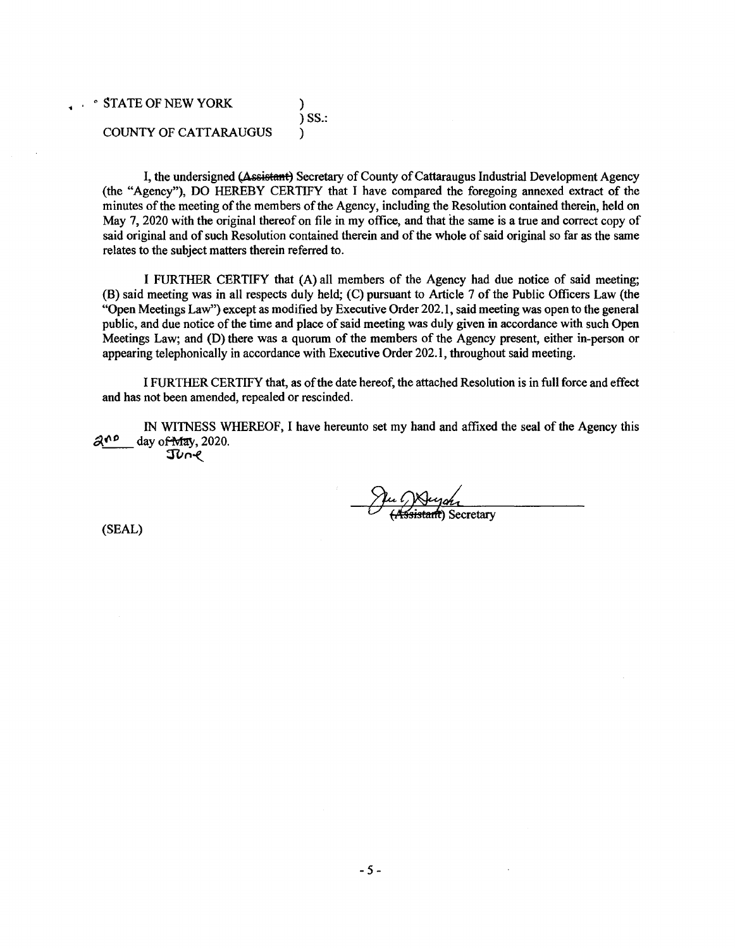$\cdot$  STATE OF NEW YORK ) ) SS.: ) SS.: COUNTY OF CATTARAUGUS ) COUNTY OF CATTARAUGUS )

I, the undersigned (Assistant) Secretary of County of Cattaraugus Industrial Development Agency (the "Agency"), DO HEREBY CERTIFY that I have compared the foregoing annexed extract of the (the "Agency"), DO HEREBY CERTIFY that I have compared the foregoing annexed extract of the minutes of the meeting of the members of the Agency, including the Resolution contained therein, held on minutes of the meeting of the members of the Agency, including the Resolution contained therein, held on May 7, 2020 with the original thereof on file in my office, and that the same is a true and correct copy of May 7, 2020 with the original thereof on file in my office, and that the same is a true and correct copy of said original and of such Resolution contained therein and of the whole of said original so far as the same said original and of such Resolution contained therein and of the whole of said original so far as the same relates to the subject matters therein referred to.

I FURTHER CERTIFY that (A) all members of the Agency had due notice of said meeting; I FURTHER CERTIFY that (A) all members of the Agency had due notice of said meeting; (B) said meeting was in all respects duly held; (C) pursuant to Article 7 of the Public Officers Law (the (B) said meeting was in all respects duly held; (C) pursuant to Article 7 of the Public Officers Law (the "Open Meetings Law") except as modified by Executive Order 202.1, said meeting was open to the general "Open Meetings Law") except as modified by Executive Order 202.1, said meeting was open to the general public, and due notice of the time and place of said meeting was duly given in accordance with such Open public, and due notice of the time and place of said meeting was duly given in accordance with such Open Meetings Law; and (D) there was a quorum of the members of the Agency present, either in-person or Meetings Law; and (D) there was a quorum of the members of the Agency present, either in-person or appearing telephonically in accordance with Executive Order 202.1, throughout said meeting. appearing telephonically in accordance with Executive Order 202.1, throughout said meeting.

I FURTHER CERTIFY that, as of the date hereof, the attached Resolution is in full force and effect I FURTHER CERTIFY that, as of the date hereof, the attached Resolution is in full force and effect and has not been amended, repealed or rescinded. and has not been amended, repealed or rescinded.

IN WITNESS WHEREOF, I have hereunto set my hand and affixed the seal of the Agency this IN WI'INESS WHEREOF, I have hereunto set my hand and affixed the seal of the Agency this IN WITNESS W.<br>  $\frac{\partial^{10} P}{\partial x^{10}}$  day of May, 2020. Junl

Jul Neych<br>(Assistant) Secretary

(SEAL) (SEAL)

• •